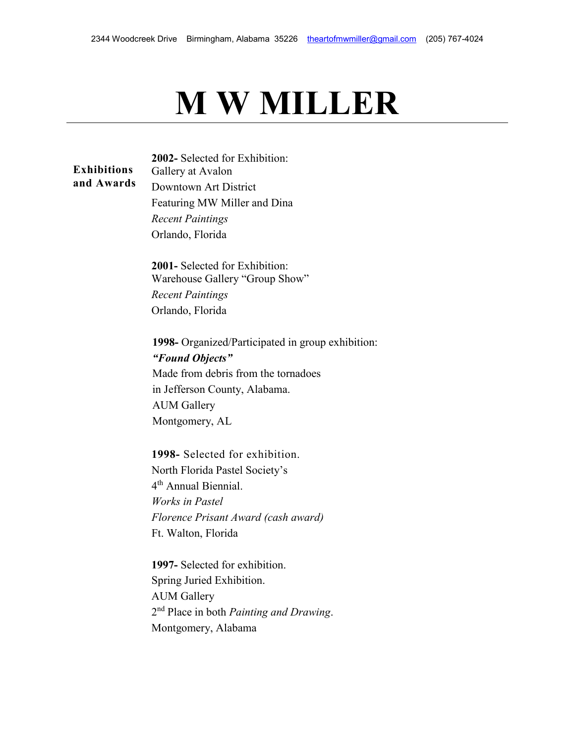## **M W MILLER**

**Exhibitions and Awards 2002-** Selected for Exhibition: Gallery at Avalon Downtown Art District Featuring MW Miller and Dina *Recent Paintings* Orlando, Florida

> **2001-** Selected for Exhibition: Warehouse Gallery "Group Show"

*Recent Paintings* Orlando, Florida

**1998-** Organized/Participated in group exhibition: *"Found Objects"* Made from debris from the tornadoes in Jefferson County, Alabama. AUM Gallery Montgomery, AL

**1998-** Selected for exhibition. North Florida Pastel Society's 4<sup>th</sup> Annual Biennial. *Works in Pastel Florence Prisant Award (cash award)*  Ft. Walton, Florida

**1997-** Selected for exhibition. Spring Juried Exhibition. AUM Gallery 2nd Place in both *Painting and Drawing*. Montgomery, Alabama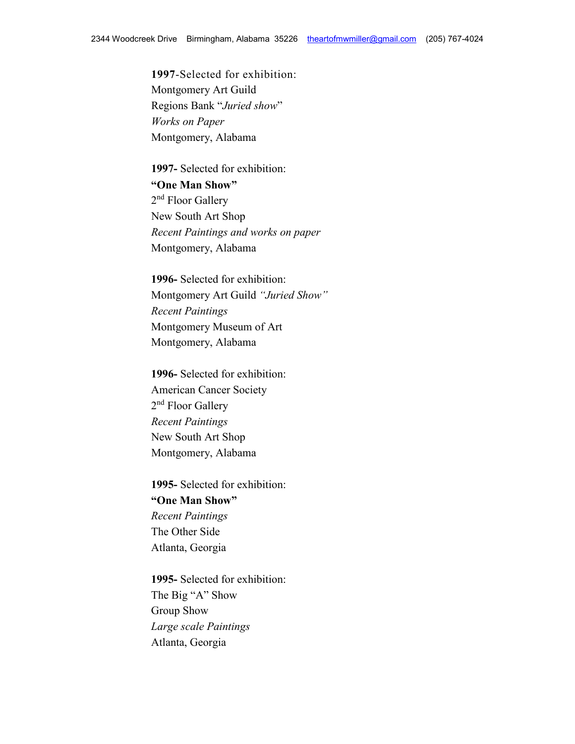**1997**-Selected for exhibition: Montgomery Art Guild Regions Bank "*Juried show*" *Works on Paper* Montgomery, Alabama

**1997-** Selected for exhibition: **"One Man Show"** 2<sup>nd</sup> Floor Gallery New South Art Shop *Recent Paintings and works on paper* Montgomery, Alabama

**1996-** Selected for exhibition: Montgomery Art Guild *"Juried Show" Recent Paintings* Montgomery Museum of Art Montgomery, Alabama

**1996-** Selected for exhibition: American Cancer Society 2<sup>nd</sup> Floor Gallery *Recent Paintings* New South Art Shop Montgomery, Alabama

**1995-** Selected for exhibition: **"One Man Show"** *Recent Paintings* The Other Side Atlanta, Georgia

**1995-** Selected for exhibition: The Big "A" Show Group Show *Large scale Paintings* Atlanta, Georgia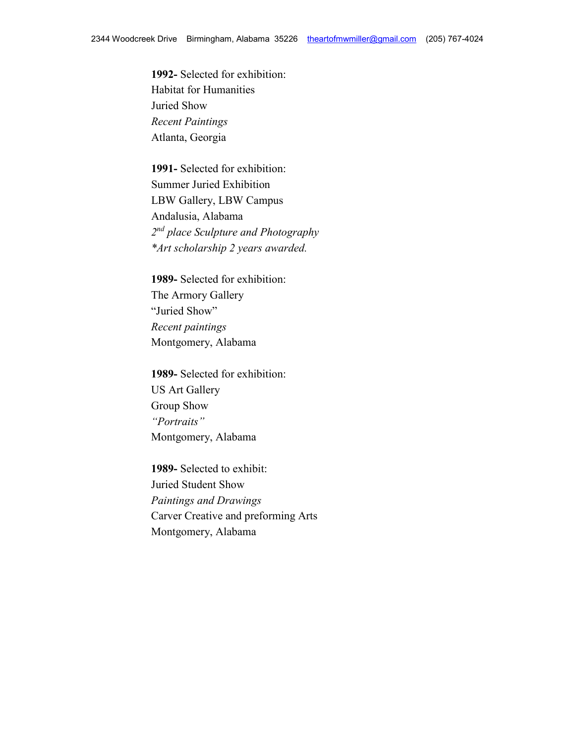**1992-** Selected for exhibition: Habitat for Humanities Juried Show *Recent Paintings* Atlanta, Georgia

**1991-** Selected for exhibition: Summer Juried Exhibition LBW Gallery, LBW Campus Andalusia, Alabama *2nd place Sculpture and Photography \*Art scholarship 2 years awarded.*

**1989-** Selected for exhibition: The Armory Gallery "Juried Show" *Recent paintings* Montgomery, Alabama

**1989-** Selected for exhibition: US Art Gallery Group Show *"Portraits"* Montgomery, Alabama

**1989-** Selected to exhibit: Juried Student Show *Paintings and Drawings* Carver Creative and preforming Arts Montgomery, Alabama